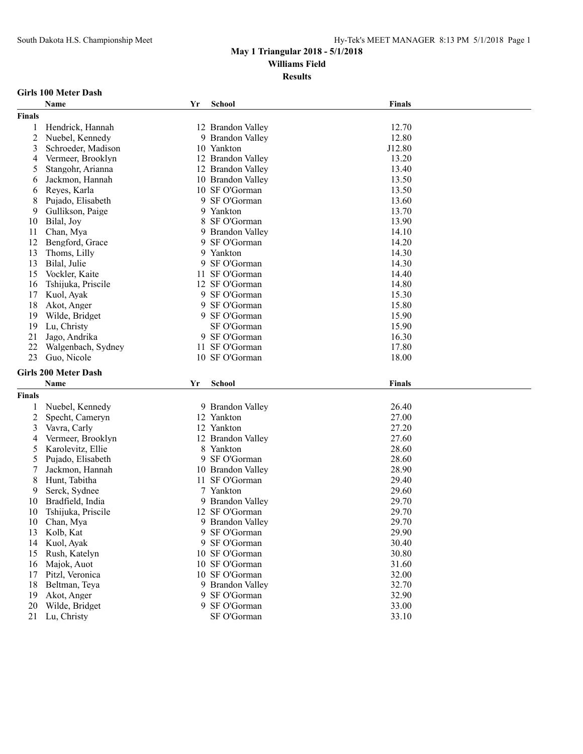# **May 1 Triangular 2018 - 5/1/2018**

**Williams Field**

**Results**

#### **Girls 100 Meter Dash**

|                | Name                          | Yr | School                           | <b>Finals</b>  |
|----------------|-------------------------------|----|----------------------------------|----------------|
| <b>Finals</b>  |                               |    |                                  |                |
| 1              | Hendrick, Hannah              |    | 12 Brandon Valley                | 12.70          |
| $\overline{c}$ | Nuebel, Kennedy               |    | 9 Brandon Valley                 | 12.80          |
| 3              | Schroeder, Madison            |    | 10 Yankton                       | J12.80         |
| 4              | Vermeer, Brooklyn             |    | 12 Brandon Valley                | 13.20          |
| 5              | Stangohr, Arianna             |    | 12 Brandon Valley                | 13.40          |
| 6              | Jackmon, Hannah               |    | 10 Brandon Valley                | 13.50          |
| 6              | Reyes, Karla                  |    | 10 SF O'Gorman                   | 13.50          |
| 8              | Pujado, Elisabeth             |    | 9 SF O'Gorman                    | 13.60          |
| 9              | Gullikson, Paige              |    | 9 Yankton                        | 13.70          |
| 10             | Bilal, Joy                    |    | 8 SF O'Gorman                    | 13.90          |
| 11             | Chan, Mya                     |    | 9 Brandon Valley                 | 14.10          |
| 12             | Bengford, Grace               |    | 9 SF O'Gorman                    | 14.20          |
| 13             | Thoms, Lilly                  |    | 9 Yankton                        | 14.30          |
| 13             | Bilal, Julie                  |    | 9 SF O'Gorman                    | 14.30          |
| 15             | Vockler, Kaite                |    | 11 SF O'Gorman                   | 14.40          |
| 16             | Tshijuka, Priscile            |    | 12 SF O'Gorman                   | 14.80          |
| 17             | Kuol, Ayak                    |    | 9 SF O'Gorman                    | 15.30          |
| 18             | Akot, Anger                   |    | 9 SF O'Gorman                    | 15.80          |
| 19             | Wilde, Bridget                |    | 9 SF O'Gorman                    | 15.90          |
| 19             | Lu, Christy                   |    | SF O'Gorman                      | 15.90          |
| 21             | Jago, Andrika                 |    | 9 SF O'Gorman                    | 16.30          |
| 22             | Walgenbach, Sydney            |    | 11 SF O'Gorman                   | 17.80          |
| 23             | Guo, Nicole                   |    | 10 SF O'Gorman                   | 18.00          |
|                |                               |    |                                  |                |
|                | <b>Girls 200 Meter Dash</b>   |    |                                  |                |
|                | Name                          | Yr | School                           | <b>Finals</b>  |
| <b>Finals</b>  |                               |    |                                  |                |
| 1              | Nuebel, Kennedy               |    | 9 Brandon Valley                 | 26.40          |
| 2              | Specht, Cameryn               |    | 12 Yankton                       | 27.00          |
| 3              | Vavra, Carly                  |    | 12 Yankton                       | 27.20          |
| 4              | Vermeer, Brooklyn             |    | 12 Brandon Valley                | 27.60          |
| 5              | Karolevitz, Ellie             |    | 8 Yankton                        | 28.60          |
| 5              | Pujado, Elisabeth             | 9. | SF O'Gorman                      | 28.60          |
| 7              | Jackmon, Hannah               |    |                                  |                |
| 8              |                               |    | 10 Brandon Valley                | 28.90          |
|                |                               |    | 11 SF O'Gorman                   | 29.40          |
| 9              | Hunt, Tabitha                 |    | 7 Yankton                        | 29.60          |
|                | Serck, Sydnee                 |    |                                  |                |
| 10             | Bradfield, India              |    | 9 Brandon Valley                 | 29.70          |
| 10             | Tshijuka, Priscile            |    | 12 SF O'Gorman                   | 29.70          |
| 10             | Chan, Mya                     |    | 9 Brandon Valley                 | 29.70          |
| 13             | Kolb, Kat                     |    | 9 SF O'Gorman                    | 29.90          |
| 14             | Kuol, Ayak                    |    | 9 SF O'Gorman                    | 30.40          |
| 15             | Rush, Katelyn                 |    | 10 SF O'Gorman                   | 30.80          |
| 16             | Majok, Auot                   |    | 10 SF O'Gorman<br>10 SF O'Gorman | 31.60          |
| 17             | Pitzl, Veronica               |    |                                  | 32.00          |
| 18             | Beltman, Teya                 |    | 9 Brandon Valley                 | 32.70          |
| 19<br>20       | Akot, Anger<br>Wilde, Bridget |    | 9 SF O'Gorman<br>9 SF O'Gorman   | 32.90<br>33.00 |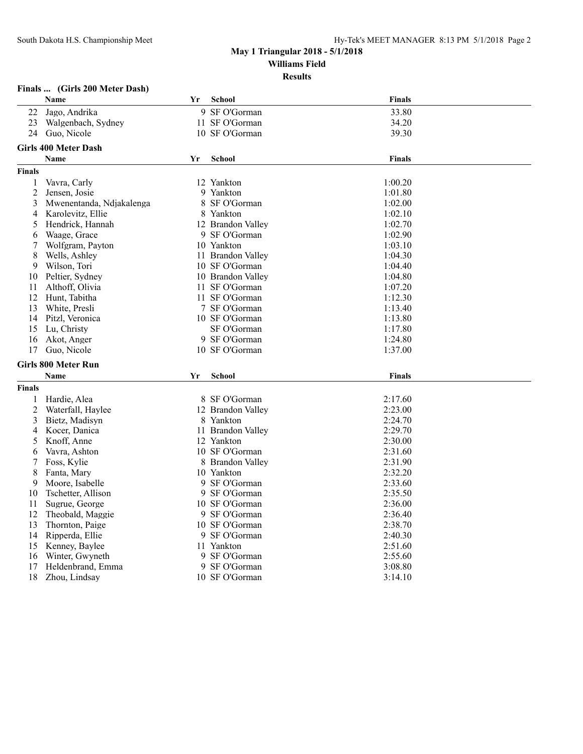#### **Finals ... (Girls 200 Meter Dash)**

|                | Name                        | Yr | <b>School</b>     | <b>Finals</b> |  |
|----------------|-----------------------------|----|-------------------|---------------|--|
| 22             | Jago, Andrika               |    | 9 SF O'Gorman     | 33.80         |  |
| 23             | Walgenbach, Sydney          |    | 11 SF O'Gorman    | 34.20         |  |
| 24             | Guo, Nicole                 |    | 10 SF O'Gorman    | 39.30         |  |
|                | <b>Girls 400 Meter Dash</b> |    |                   |               |  |
|                | Name                        | Yr | <b>School</b>     | <b>Finals</b> |  |
| <b>Finals</b>  |                             |    |                   |               |  |
| 1              | Vavra, Carly                |    | 12 Yankton        | 1:00.20       |  |
| $\overline{c}$ | Jensen, Josie               |    | 9 Yankton         | 1:01.80       |  |
| 3              | Mwenentanda, Ndjakalenga    |    | 8 SF O'Gorman     | 1:02.00       |  |
| 4              | Karolevitz, Ellie           |    | 8 Yankton         | 1:02.10       |  |
| 5              | Hendrick, Hannah            |    | 12 Brandon Valley | 1:02.70       |  |
| 6              | Waage, Grace                |    | 9 SF O'Gorman     | 1:02.90       |  |
| 7              | Wolfgram, Payton            |    | 10 Yankton        | 1:03.10       |  |
| 8              | Wells, Ashley               |    | 11 Brandon Valley | 1:04.30       |  |
| 9              | Wilson, Tori                |    | 10 SF O'Gorman    | 1:04.40       |  |
| 10             | Peltier, Sydney             |    | 10 Brandon Valley | 1:04.80       |  |
| 11             | Althoff, Olivia             |    | 11 SF O'Gorman    | 1:07.20       |  |
| 12             | Hunt, Tabitha               |    | 11 SF O'Gorman    | 1:12.30       |  |
| 13             | White, Presli               |    | 7 SF O'Gorman     | 1:13.40       |  |
| 14             | Pitzl, Veronica             |    | 10 SF O'Gorman    | 1:13.80       |  |
| 15             | Lu, Christy                 |    | SF O'Gorman       | 1:17.80       |  |
| 16             | Akot, Anger                 |    | 9 SF O'Gorman     | 1:24.80       |  |
| 17             | Guo, Nicole                 |    | 10 SF O'Gorman    | 1:37.00       |  |
|                | <b>Girls 800 Meter Run</b>  |    |                   |               |  |
|                | Name                        | Yr | <b>School</b>     | <b>Finals</b> |  |
| <b>Finals</b>  |                             |    |                   |               |  |
| 1              | Hardie, Alea                |    | 8 SF O'Gorman     | 2:17.60       |  |
| $\overline{c}$ | Waterfall, Haylee           |    | 12 Brandon Valley | 2:23.00       |  |
| 3              | Bietz, Madisyn              | 8  | Yankton           | 2:24.70       |  |
| 4              | Kocer, Danica               |    | 11 Brandon Valley | 2:29.70       |  |
| 5              | Knoff, Anne                 |    | 12 Yankton        | 2:30.00       |  |
| 6              | Vavra, Ashton               |    | 10 SF O'Gorman    | 2:31.60       |  |
| 7              | Foss, Kylie                 |    | 8 Brandon Valley  | 2:31.90       |  |
| 8              | Fanta, Mary                 |    | 10 Yankton        | 2:32.20       |  |
| 9              | Moore, Isabelle             |    | 9 SF O'Gorman     | 2:33.60       |  |
| 10             | Tschetter, Allison          |    | 9 SF O'Gorman     | 2:35.50       |  |
| 11             | Sugrue, George              |    | 10 SF O'Gorman    | 2:36.00       |  |
| 12             | Theobald, Maggie            |    | 9 SF O'Gorman     | 2:36.40       |  |
| 13             | Thornton, Paige             |    | 10 SF O'Gorman    | 2:38.70       |  |
| 14             | Ripperda, Ellie             |    | 9 SF O'Gorman     | 2:40.30       |  |
| 15             | Kenney, Baylee              |    | 11 Yankton        | 2:51.60       |  |
| 16             | Winter, Gwyneth             |    | 9 SF O'Gorman     | 2:55.60       |  |
| 17             | Heldenbrand, Emma           |    | 9 SF O'Gorman     | 3:08.80       |  |
| 18             | Zhou, Lindsay               |    | 10 SF O'Gorman    | 3:14.10       |  |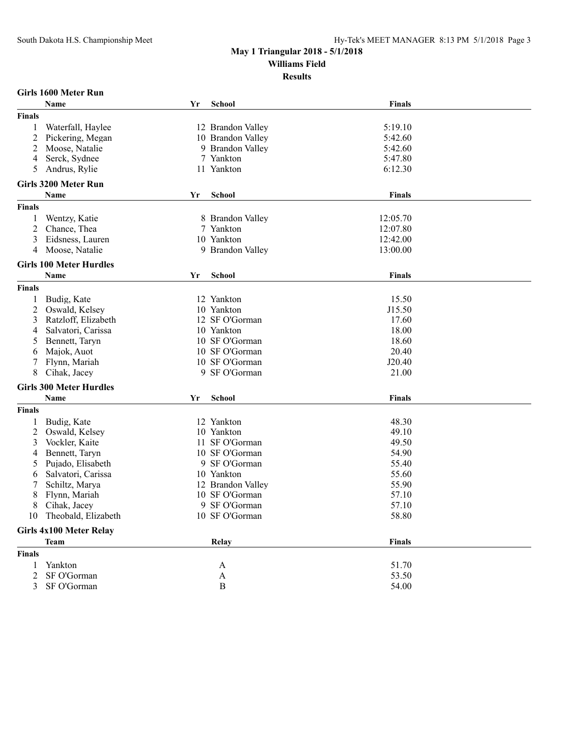**Results**

#### **Girls 1600 Meter Run**

|                | <b>Name</b>                    | Yr | <b>School</b>     | Finals        |  |
|----------------|--------------------------------|----|-------------------|---------------|--|
| <b>Finals</b>  |                                |    |                   |               |  |
| 1              | Waterfall, Haylee              |    | 12 Brandon Valley | 5:19.10       |  |
| $\overline{2}$ | Pickering, Megan               |    | 10 Brandon Valley | 5:42.60       |  |
| $\overline{c}$ | Moose, Natalie                 |    | 9 Brandon Valley  | 5:42.60       |  |
| 4              | Serck, Sydnee                  |    | 7 Yankton         | 5:47.80       |  |
| 5              | Andrus, Rylie                  |    | 11 Yankton        | 6:12.30       |  |
|                |                                |    |                   |               |  |
|                | <b>Girls 3200 Meter Run</b>    |    |                   |               |  |
|                | <b>Name</b>                    | Yr | <b>School</b>     | <b>Finals</b> |  |
| <b>Finals</b>  |                                |    |                   |               |  |
| 1              | Wentzy, Katie                  |    | 8 Brandon Valley  | 12:05.70      |  |
| $\overline{c}$ | Chance, Thea                   |    | 7 Yankton         | 12:07.80      |  |
| 3              | Eidsness, Lauren               |    | 10 Yankton        | 12:42.00      |  |
| 4              | Moose, Natalie                 |    | 9 Brandon Valley  | 13:00.00      |  |
|                | <b>Girls 100 Meter Hurdles</b> |    |                   |               |  |
|                | <b>Name</b>                    | Yr | <b>School</b>     | <b>Finals</b> |  |
| <b>Finals</b>  |                                |    |                   |               |  |
| 1              | Budig, Kate                    |    | 12 Yankton        | 15.50         |  |
| 2              | Oswald, Kelsey                 |    | 10 Yankton        | J15.50        |  |
| 3              | Ratzloff, Elizabeth            |    | 12 SF O'Gorman    | 17.60         |  |
| 4              | Salvatori, Carissa             |    | 10 Yankton        | 18.00         |  |
| 5              | Bennett, Taryn                 |    | 10 SF O'Gorman    | 18.60         |  |
| 6              | Majok, Auot                    |    | 10 SF O'Gorman    | 20.40         |  |
| 7              | Flynn, Mariah                  |    | 10 SF O'Gorman    | J20.40        |  |
| 8              | Cihak, Jacey                   |    | 9 SF O'Gorman     | 21.00         |  |
|                | <b>Girls 300 Meter Hurdles</b> |    |                   |               |  |
|                | Name                           | Yr | <b>School</b>     | <b>Finals</b> |  |
|                |                                |    |                   |               |  |
| <b>Finals</b>  |                                |    |                   |               |  |
| 1              | Budig, Kate                    |    | 12 Yankton        | 48.30         |  |
| $\overline{2}$ | Oswald, Kelsey                 |    | 10 Yankton        | 49.10         |  |
| 3              | Vockler, Kaite                 |    | 11 SF O'Gorman    | 49.50         |  |
| 4              | Bennett, Taryn                 |    | 10 SF O'Gorman    | 54.90         |  |
| 5              | Pujado, Elisabeth              |    | 9 SF O'Gorman     | 55.40         |  |
| 6              | Salvatori, Carissa             |    | 10 Yankton        | 55.60         |  |
| 7              | Schiltz, Marya                 |    | 12 Brandon Valley | 55.90         |  |
| 8              | Flynn, Mariah                  |    | 10 SF O'Gorman    | 57.10         |  |
| 8              | Cihak, Jacey                   |    | 9 SF O'Gorman     | 57.10         |  |
| 10             | Theobald, Elizabeth            |    | 10 SF O'Gorman    | 58.80         |  |
|                | <b>Girls 4x100 Meter Relay</b> |    |                   |               |  |
|                | <b>Team</b>                    |    | Relay             | <b>Finals</b> |  |
| <b>Finals</b>  |                                |    |                   |               |  |
| 1              | Yankton                        |    | A                 | 51.70         |  |
| $\overline{2}$ | SF O'Gorman                    |    | A                 | 53.50         |  |
| 3              | SF O'Gorman                    |    | B                 | 54.00         |  |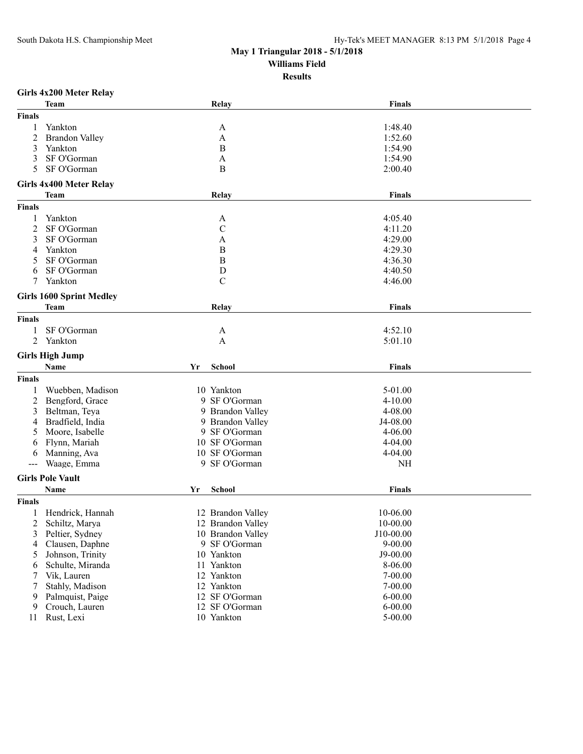**Results**

## **Girls 4x200 Meter Relay**

|                      | <b>Team</b>                     |    | Relay             | <b>Finals</b> |
|----------------------|---------------------------------|----|-------------------|---------------|
| Finals               |                                 |    |                   |               |
| 1                    | Yankton                         |    | A                 | 1:48.40       |
| $\overline{2}$       | <b>Brandon Valley</b>           |    | A                 | 1:52.60       |
| 3                    | Yankton                         |    | $\mathbf B$       | 1:54.90       |
| 3                    | SF O'Gorman                     |    | A                 | 1:54.90       |
| 5                    | SF O'Gorman                     |    | B                 | 2:00.40       |
|                      |                                 |    |                   |               |
|                      | <b>Girls 4x400 Meter Relay</b>  |    |                   |               |
|                      | <b>Team</b>                     |    | Relay             | <b>Finals</b> |
| <b>Finals</b>        |                                 |    |                   |               |
| 1                    | Yankton                         |    | A                 | 4:05.40       |
| 2                    | SF O'Gorman                     |    | $\mathbf C$       | 4:11.20       |
| 3                    | SF O'Gorman                     |    | A                 | 4:29.00       |
| 4                    | Yankton                         |    | $\, {\bf B}$      | 4:29.30       |
| 5                    | SF O'Gorman                     |    | $\, {\bf B}$      | 4:36.30       |
| 6                    | SF O'Gorman                     |    | $\mathbf D$       | 4:40.50       |
| 7                    | Yankton                         |    | $\mathcal{C}$     | 4:46.00       |
|                      |                                 |    |                   |               |
|                      | <b>Girls 1600 Sprint Medley</b> |    |                   |               |
|                      | Team                            |    | Relay             | <b>Finals</b> |
| <b>Finals</b>        |                                 |    |                   |               |
|                      | SF O'Gorman                     |    | A                 | 4:52.10       |
| 2                    | Yankton                         |    | A                 | 5:01.10       |
|                      |                                 |    |                   |               |
|                      | <b>Girls High Jump</b>          |    |                   |               |
|                      | Name                            | Yr | <b>School</b>     | Finals        |
| <b>Finals</b>        |                                 |    |                   |               |
|                      | Wuebben, Madison                |    | 10 Yankton        | 5-01.00       |
| 2                    | Bengford, Grace                 |    | 9 SF O'Gorman     | $4 - 10.00$   |
| 3                    | Beltman, Teya                   |    | 9 Brandon Valley  | 4-08.00       |
| 4                    | Bradfield, India                |    | 9 Brandon Valley  | J4-08.00      |
|                      | Moore, Isabelle                 |    |                   |               |
| 6                    |                                 |    | 9 SF O'Gorman     | $4 - 06.00$   |
|                      | Flynn, Mariah                   |    | 10 SF O'Gorman    | 4-04.00       |
| 6                    | Manning, Ava                    |    | 10 SF O'Gorman    | 4-04.00       |
| $\sim$ $\sim$ $\sim$ | Waage, Emma                     |    | 9 SF O'Gorman     | <b>NH</b>     |
|                      |                                 |    |                   |               |
|                      | <b>Girls Pole Vault</b>         |    |                   |               |
|                      | Name                            | Yr | <b>School</b>     | <b>Finals</b> |
| <b>Finals</b>        |                                 |    |                   |               |
|                      | Hendrick, Hannah                |    | 12 Brandon Valley | 10-06.00      |
| 2                    | Schiltz, Marya                  |    | 12 Brandon Valley | 10-00.00      |
| 3                    | Peltier, Sydney                 |    | 10 Brandon Valley | J10-00.00     |
| 4                    | Clausen, Daphne                 |    | 9 SF O'Gorman     | $9 - 00.00$   |
| 5                    | Johnson, Trinity                |    | 10 Yankton        | $J9 - 00.00$  |
| 6                    | Schulte, Miranda                |    | 11 Yankton        | 8-06.00       |
| 7                    | Vik, Lauren                     |    | 12 Yankton        | 7-00.00       |
| 7                    | Stahly, Madison                 |    | 12 Yankton        | $7 - 00.00$   |
| 9                    | Palmquist, Paige                |    | 12 SF O'Gorman    | $6 - 00.00$   |
| 9                    | Crouch, Lauren                  |    | 12 SF O'Gorman    | $6 - 00.00$   |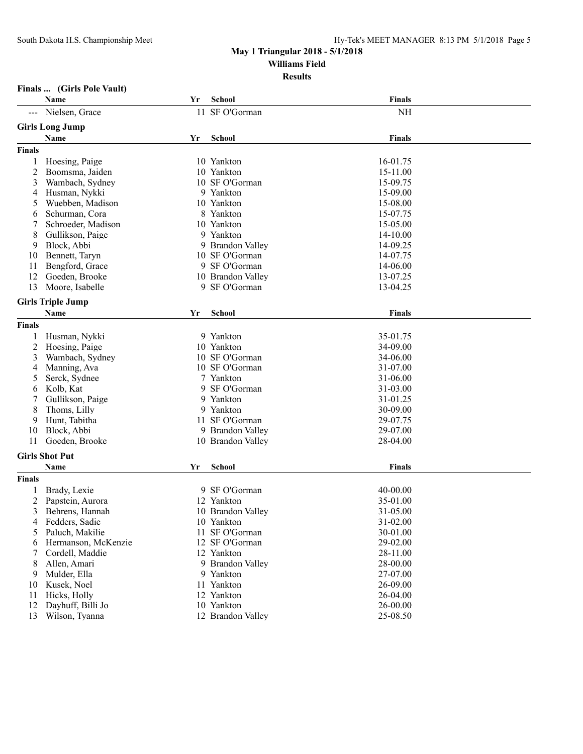#### **Results**

## **Finals ... (Girls Pole Vault)**

|               | Name                     | Yr | School            | Finals        |  |
|---------------|--------------------------|----|-------------------|---------------|--|
|               | Nielsen, Grace           |    | 11 SF O'Gorman    | <b>NH</b>     |  |
|               | <b>Girls Long Jump</b>   |    |                   |               |  |
|               | Name                     | Yr | <b>School</b>     | <b>Finals</b> |  |
| <b>Finals</b> |                          |    |                   |               |  |
| 1             | Hoesing, Paige           |    | 10 Yankton        | 16-01.75      |  |
| 2             | Boomsma, Jaiden          |    | 10 Yankton        | 15-11.00      |  |
| 3             | Wambach, Sydney          |    | 10 SF O'Gorman    | 15-09.75      |  |
| 4             | Husman, Nykki            |    | 9 Yankton         | 15-09.00      |  |
| 5             | Wuebben, Madison         |    | 10 Yankton        | 15-08.00      |  |
| 6             | Schurman, Cora           |    | 8 Yankton         | 15-07.75      |  |
|               | Schroeder, Madison       |    | 10 Yankton        | 15-05.00      |  |
| 8             | Gullikson, Paige         |    | 9 Yankton         | 14-10.00      |  |
| 9             | Block, Abbi              |    | 9 Brandon Valley  | 14-09.25      |  |
| 10            | Bennett, Taryn           |    | 10 SF O'Gorman    | 14-07.75      |  |
| 11            | Bengford, Grace          |    | 9 SF O'Gorman     | 14-06.00      |  |
| 12            | Goeden, Brooke           |    | 10 Brandon Valley | 13-07.25      |  |
| 13            | Moore, Isabelle          |    | 9 SF O'Gorman     | 13-04.25      |  |
|               |                          |    |                   |               |  |
|               | <b>Girls Triple Jump</b> |    |                   |               |  |
|               | Name                     | Yr | <b>School</b>     | <b>Finals</b> |  |
| <b>Finals</b> |                          |    |                   |               |  |
|               | Husman, Nykki            |    | 9 Yankton         | 35-01.75      |  |
| 2             | Hoesing, Paige           |    | 10 Yankton        | 34-09.00      |  |
| 3             | Wambach, Sydney          |    | 10 SF O'Gorman    | 34-06.00      |  |
| 4             | Manning, Ava             |    | 10 SF O'Gorman    | 31-07.00      |  |
| 5             | Serck, Sydnee            |    | 7 Yankton         | 31-06.00      |  |
| 6             | Kolb, Kat                |    | 9 SF O'Gorman     | 31-03.00      |  |
|               | Gullikson, Paige         |    | 9 Yankton         | 31-01.25      |  |
| 8             | Thoms, Lilly             |    | 9 Yankton         | 30-09.00      |  |
| 9             | Hunt, Tabitha            |    | 11 SF O'Gorman    | 29-07.75      |  |
| 10            | Block, Abbi              |    | 9 Brandon Valley  | 29-07.00      |  |
| 11            | Goeden, Brooke           |    | 10 Brandon Valley | 28-04.00      |  |
|               | <b>Girls Shot Put</b>    |    |                   |               |  |
|               | Name                     | Yr | <b>School</b>     | Finals        |  |
| <b>Finals</b> |                          |    |                   |               |  |
|               |                          |    |                   |               |  |
|               | Brady, Lexie             |    | 9 SF O'Gorman     | 40-00.00      |  |
| 2             | Papstein, Aurora         |    | 12 Yankton        | 35-01.00      |  |
| 3             | Behrens, Hannah          |    | 10 Brandon Valley | 31-05.00      |  |
|               | 4 Fedders, Sadie         |    | 10 Yankton        | 31-02.00      |  |
| 5             | Paluch, Makilie          |    | 11 SF O'Gorman    | 30-01.00      |  |
| 6             | Hermanson, McKenzie      |    | 12 SF O'Gorman    | 29-02.00      |  |
|               | Cordell, Maddie          |    | 12 Yankton        | 28-11.00      |  |
| 8             | Allen, Amari             |    | 9 Brandon Valley  | 28-00.00      |  |
| 9             | Mulder, Ella             |    | 9 Yankton         | 27-07.00      |  |
| 10            | Kusek, Noel              |    | 11 Yankton        | 26-09.00      |  |
| 11            | Hicks, Holly             |    | 12 Yankton        | 26-04.00      |  |
| 12            | Dayhuff, Billi Jo        |    | 10 Yankton        | 26-00.00      |  |
| 13            | Wilson, Tyanna           |    | 12 Brandon Valley | 25-08.50      |  |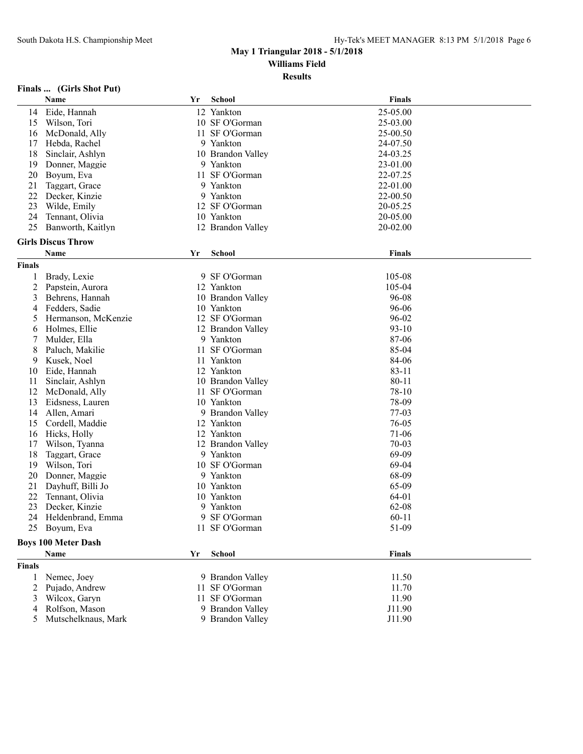**Results**

## **Finals ... (Girls Shot Put)**

|               | Name                       | Yr | <b>School</b>     | <b>Finals</b> |  |
|---------------|----------------------------|----|-------------------|---------------|--|
| 14            | Eide, Hannah               |    | 12 Yankton        | 25-05.00      |  |
| 15            | Wilson, Tori               |    | 10 SF O'Gorman    | 25-03.00      |  |
| 16            | McDonald, Ally             |    | 11 SF O'Gorman    | 25-00.50      |  |
| 17            | Hebda, Rachel              |    | 9 Yankton         | 24-07.50      |  |
| 18            | Sinclair, Ashlyn           |    | 10 Brandon Valley | 24-03.25      |  |
| 19            | Donner, Maggie             |    | 9 Yankton         | 23-01.00      |  |
| 20            | Boyum, Eva                 |    | 11 SF O'Gorman    | 22-07.25      |  |
| 21            | Taggart, Grace             |    | 9 Yankton         | 22-01.00      |  |
| 22            | Decker, Kinzie             |    | 9 Yankton         | 22-00.50      |  |
| 23            | Wilde, Emily               |    | 12 SF O'Gorman    | 20-05.25      |  |
| 24            | Tennant, Olivia            |    | 10 Yankton        | 20-05.00      |  |
| 25            | Banworth, Kaitlyn          |    | 12 Brandon Valley | 20-02.00      |  |
|               |                            |    |                   |               |  |
|               | <b>Girls Discus Throw</b>  |    |                   |               |  |
|               | Name                       | Yr | <b>School</b>     | <b>Finals</b> |  |
| <b>Finals</b> |                            |    |                   |               |  |
| 1             | Brady, Lexie               |    | 9 SF O'Gorman     | 105-08        |  |
| 2             | Papstein, Aurora           |    | 12 Yankton        | 105-04        |  |
| 3             | Behrens, Hannah            |    | 10 Brandon Valley | 96-08         |  |
| 4             | Fedders, Sadie             |    | 10 Yankton        | 96-06         |  |
| 5             | Hermanson, McKenzie        |    | 12 SF O'Gorman    | 96-02         |  |
| 6             | Holmes, Ellie              |    | 12 Brandon Valley | $93 - 10$     |  |
| 7             | Mulder, Ella               |    | 9 Yankton         | 87-06         |  |
| 8             | Paluch, Makilie            | 11 | SF O'Gorman       | 85-04         |  |
| 9             | Kusek, Noel                |    | 11 Yankton        | 84-06         |  |
| 10            | Eide, Hannah               |    | 12 Yankton        | $83 - 11$     |  |
| 11            | Sinclair, Ashlyn           |    | 10 Brandon Valley | $80 - 11$     |  |
| 12            | McDonald, Ally             |    | 11 SF O'Gorman    | 78-10         |  |
| 13            | Eidsness, Lauren           |    | 10 Yankton        | 78-09         |  |
| 14            | Allen, Amari               |    | 9 Brandon Valley  | $77-03$       |  |
| 15            | Cordell, Maddie            |    | 12 Yankton        | 76-05         |  |
| 16            | Hicks, Holly               |    | 12 Yankton        | $71-06$       |  |
| 17            | Wilson, Tyanna             |    | 12 Brandon Valley | $70 - 03$     |  |
| 18            | Taggart, Grace             |    | 9 Yankton         | 69-09         |  |
| 19            | Wilson, Tori               |    | 10 SF O'Gorman    | 69-04         |  |
| 20            | Donner, Maggie             |    | 9 Yankton         | 68-09         |  |
| 21            | Dayhuff, Billi Jo          |    | 10 Yankton        | 65-09         |  |
| 22            | Tennant, Olivia            |    | 10 Yankton        | 64-01         |  |
| 23            | Decker, Kinzie             | 9  | Yankton           | 62-08         |  |
| 24            | Heldenbrand, Emma          | 9. | SF O'Gorman       | $60 - 11$     |  |
|               | 25 Boyum, Eva              |    | 11 SF O'Gorman    | 51-09         |  |
|               |                            |    |                   |               |  |
|               | <b>Boys 100 Meter Dash</b> |    |                   |               |  |
|               | Name                       | Yr | <b>School</b>     | <b>Finals</b> |  |
| Finals        |                            |    |                   |               |  |
| 1             | Nemec, Joey                |    | 9 Brandon Valley  | 11.50         |  |
| 2             | Pujado, Andrew             |    | 11 SF O'Gorman    | 11.70         |  |
| 3             | Wilcox, Garyn              | 11 | SF O'Gorman       | 11.90         |  |
| 4             | Rolfson, Mason             |    | 9 Brandon Valley  | J11.90        |  |
| 5             | Mutschelknaus, Mark        |    | 9 Brandon Valley  | J11.90        |  |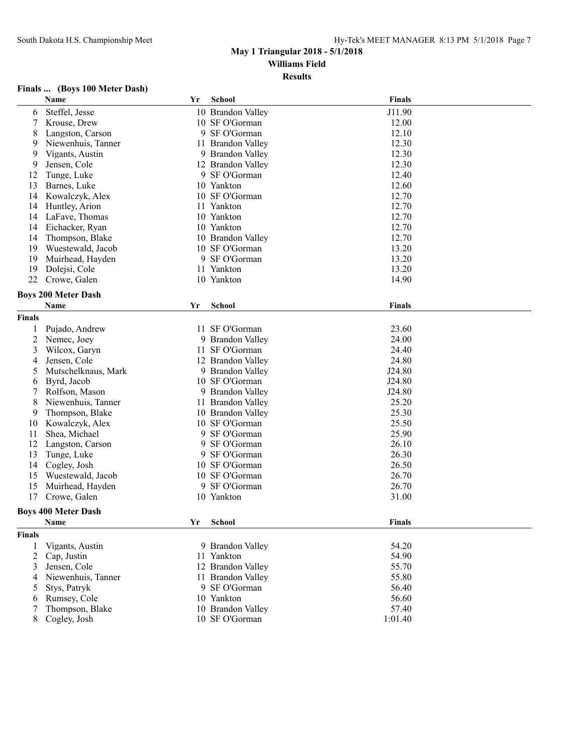**Results**

## **Finals ... (Boys 100 Meter Dash)**

|               | Name                       | Yr | <b>School</b>     | <b>Finals</b> |
|---------------|----------------------------|----|-------------------|---------------|
| 6             | Steffel, Jesse             |    | 10 Brandon Valley | J11.90        |
| 7             | Krouse, Drew               |    | 10 SF O'Gorman    | 12.00         |
| 8             | Langston, Carson           |    | 9 SF O'Gorman     | 12.10         |
| 9             | Niewenhuis, Tanner         |    | 11 Brandon Valley | 12.30         |
| 9             | Vigants, Austin            |    | 9 Brandon Valley  | 12.30         |
| 9             | Jensen, Cole               |    | 12 Brandon Valley | 12.30         |
| 12            | Tunge, Luke                |    | 9 SF O'Gorman     | 12.40         |
| 13            | Barnes, Luke               |    | 10 Yankton        | 12.60         |
| 14            | Kowalczyk, Alex            |    | 10 SF O'Gorman    | 12.70         |
| 14            | Huntley, Arion             |    | 11 Yankton        | 12.70         |
| 14            | LaFave, Thomas             |    | 10 Yankton        | 12.70         |
| 14            | Eichacker, Ryan            |    | 10 Yankton        | 12.70         |
| 14            | Thompson, Blake            |    | 10 Brandon Valley | 12.70         |
| 19            | Wuestewald, Jacob          |    | 10 SF O'Gorman    | 13.20         |
| 19            | Muirhead, Hayden           |    | 9 SF O'Gorman     | 13.20         |
| 19            | Dolejsi, Cole              |    | 11 Yankton        | 13.20         |
| 22            | Crowe, Galen               |    | 10 Yankton        | 14.90         |
|               |                            |    |                   |               |
|               | <b>Boys 200 Meter Dash</b> |    |                   |               |
|               | <b>Name</b>                | Yr | School            | <b>Finals</b> |
| <b>Finals</b> |                            |    |                   |               |
| 1             | Pujado, Andrew             |    | 11 SF O'Gorman    | 23.60         |
| 2             | Nemec, Joey                |    | 9 Brandon Valley  | 24.00         |
| 3             | Wilcox, Garyn              |    | 11 SF O'Gorman    | 24.40         |
| 4             | Jensen, Cole               |    | 12 Brandon Valley | 24.80         |
| 5             | Mutschelknaus, Mark        |    | 9 Brandon Valley  | J24.80        |
| 6             | Byrd, Jacob                |    | 10 SF O'Gorman    | J24.80        |
| 7             | Rolfson, Mason             |    | 9 Brandon Valley  | J24.80        |
| 8             | Niewenhuis, Tanner         |    | 11 Brandon Valley | 25.20         |
| 9             | Thompson, Blake            |    | 10 Brandon Valley | 25.30         |
| 10            | Kowalczyk, Alex            |    | 10 SF O'Gorman    | 25.50         |
| 11            | Shea, Michael              |    | 9 SF O'Gorman     | 25.90         |
| 12            | Langston, Carson           |    | 9 SF O'Gorman     | 26.10         |
| 13            | Tunge, Luke                |    | 9 SF O'Gorman     | 26.30         |
| 14            | Cogley, Josh               |    | 10 SF O'Gorman    | 26.50         |
| 15            | Wuestewald, Jacob          |    | 10 SF O'Gorman    | 26.70         |
| 15            | Muirhead, Hayden           |    | 9 SF O'Gorman     | 26.70         |
| 17            | Crowe, Galen               |    | 10 Yankton        | 31.00         |
|               |                            |    |                   |               |
|               | <b>Boys 400 Meter Dash</b> |    |                   |               |
|               | Name                       |    | Yr School         | <b>Finals</b> |
| <b>Finals</b> |                            |    |                   |               |
| 1             | Vigants, Austin            |    | 9 Brandon Valley  | 54.20         |
| 2             | Cap, Justin                |    | 11 Yankton        | 54.90         |
| 3             | Jensen, Cole               |    | 12 Brandon Valley | 55.70         |
| 4             | Niewenhuis, Tanner         |    | 11 Brandon Valley | 55.80         |
| 5             | Stys, Patryk               |    | 9 SF O'Gorman     | 56.40         |
| 6             | Rumsey, Cole               |    | 10 Yankton        | 56.60         |
| 7             | Thompson, Blake            |    | 10 Brandon Valley | 57.40         |
| 8             | Cogley, Josh               |    | 10 SF O'Gorman    | 1:01.40       |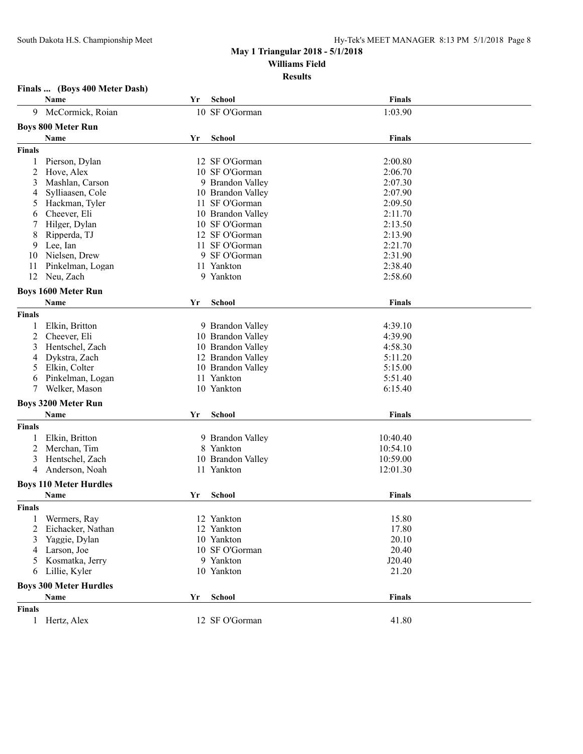## **Finals ... (Boys 400 Meter Dash)**

|               | Name                          | Yr  | <b>School</b>     | <b>Finals</b> |  |
|---------------|-------------------------------|-----|-------------------|---------------|--|
| 9             | McCormick, Roian              |     | 10 SF O'Gorman    | 1:03.90       |  |
|               | <b>Boys 800 Meter Run</b>     |     |                   |               |  |
|               |                               |     |                   |               |  |
|               | Name                          | Yr  | <b>School</b>     | <b>Finals</b> |  |
| Finals        |                               |     |                   |               |  |
| 1             | Pierson, Dylan                |     | 12 SF O'Gorman    | 2:00.80       |  |
| 2             | Hove, Alex                    |     | 10 SF O'Gorman    | 2:06.70       |  |
| 3             | Mashlan, Carson               |     | 9 Brandon Valley  | 2:07.30       |  |
| 4             | Sylliaasen, Cole              |     | 10 Brandon Valley | 2:07.90       |  |
| 5             | Hackman, Tyler                | 11. | SF O'Gorman       | 2:09.50       |  |
| 6             | Cheever, Eli                  |     | 10 Brandon Valley | 2:11.70       |  |
|               | Hilger, Dylan                 |     | 10 SF O'Gorman    | 2:13.50       |  |
| 8             | Ripperda, TJ                  |     | 12 SF O'Gorman    | 2:13.90       |  |
| 9             | Lee, Ian                      |     | 11 SF O'Gorman    | 2:21.70       |  |
| 10            | Nielsen, Drew                 |     | 9 SF O'Gorman     | 2:31.90       |  |
| 11            | Pinkelman, Logan              |     | 11 Yankton        | 2:38.40       |  |
| 12            | Neu, Zach                     |     | 9 Yankton         | 2:58.60       |  |
|               | <b>Boys 1600 Meter Run</b>    |     |                   |               |  |
|               | <b>Name</b>                   | Yr  | <b>School</b>     | <b>Finals</b> |  |
| <b>Finals</b> |                               |     |                   |               |  |
|               | Elkin, Britton                |     | 9 Brandon Valley  | 4:39.10       |  |
| 2             | Cheever, Eli                  |     | 10 Brandon Valley | 4:39.90       |  |
|               |                               |     |                   | 4:58.30       |  |
| 3             | Hentschel, Zach               |     | 10 Brandon Valley |               |  |
| 4             | Dykstra, Zach                 |     | 12 Brandon Valley | 5:11.20       |  |
| 5             | Elkin, Colter                 |     | 10 Brandon Valley | 5:15.00       |  |
| 6             | Pinkelman, Logan              |     | 11 Yankton        | 5:51.40       |  |
| 7             | Welker, Mason                 |     | 10 Yankton        | 6:15.40       |  |
|               | <b>Boys 3200 Meter Run</b>    |     |                   |               |  |
|               | Name                          | Yr  | <b>School</b>     | <b>Finals</b> |  |
| <b>Finals</b> |                               |     |                   |               |  |
|               | Elkin, Britton                |     | 9 Brandon Valley  | 10:40.40      |  |
| 2             | Merchan, Tim                  |     | 8 Yankton         | 10:54.10      |  |
| 3             | Hentschel, Zach               |     | 10 Brandon Valley | 10:59.00      |  |
| 4             | Anderson, Noah                |     | 11 Yankton        | 12:01.30      |  |
|               |                               |     |                   |               |  |
|               | <b>Boys 110 Meter Hurdles</b> |     |                   |               |  |
|               | Name                          | Yr  | <b>School</b>     | <b>Finals</b> |  |
| <b>Finals</b> |                               |     |                   |               |  |
|               | Wermers, Ray                  |     | 12 Yankton        | 15.80         |  |
| 2             | Eichacker, Nathan             |     | 12 Yankton        | 17.80         |  |
| 3             | Yaggie, Dylan                 |     | 10 Yankton        | 20.10         |  |
| 4             | Larson, Joe                   |     | 10 SF O'Gorman    | 20.40         |  |
| 5             | Kosmatka, Jerry               |     | 9 Yankton         | J20.40        |  |
| 6             | Lillie, Kyler                 |     | 10 Yankton        | 21.20         |  |
|               |                               |     |                   |               |  |
|               | <b>Boys 300 Meter Hurdles</b> |     |                   |               |  |
|               | Name                          | Yr  | <b>School</b>     | <b>Finals</b> |  |
| <b>Finals</b> |                               |     |                   |               |  |
| $\mathbf{1}$  | Hertz, Alex                   |     | 12 SF O'Gorman    | 41.80         |  |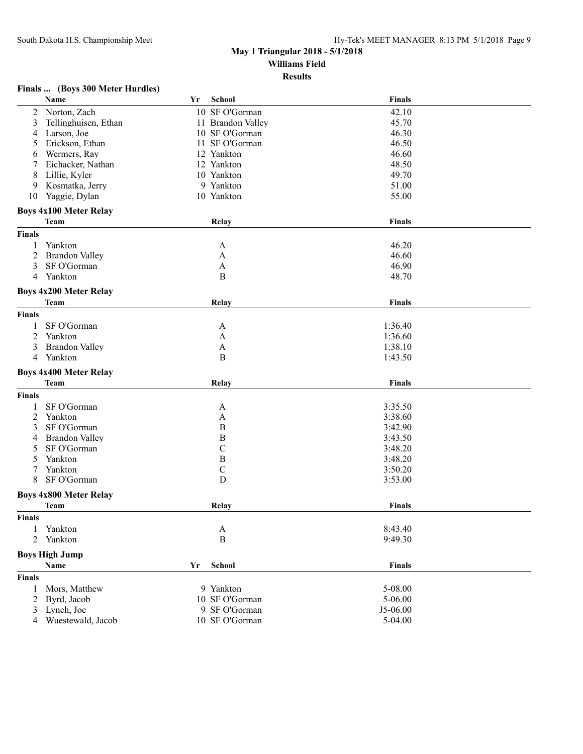## **Finals ... (Boys 300 Meter Hurdles)**

|                | Name                          | Yr | School            | <b>Finals</b> |  |
|----------------|-------------------------------|----|-------------------|---------------|--|
| 2              | Norton, Zach                  |    | 10 SF O'Gorman    | 42.10         |  |
| 3              | Tellinghuisen, Ethan          |    | 11 Brandon Valley | 45.70         |  |
| 4              | Larson, Joe                   |    | 10 SF O'Gorman    | 46.30         |  |
| 5              | Erickson, Ethan               |    | 11 SF O'Gorman    | 46.50         |  |
| 6              | Wermers, Ray                  |    | 12 Yankton        | 46.60         |  |
| 7              | Eichacker, Nathan             |    | 12 Yankton        | 48.50         |  |
| 8              | Lillie, Kyler                 |    | 10 Yankton        | 49.70         |  |
| 9              | Kosmatka, Jerry               |    | 9 Yankton         | 51.00         |  |
| 10             | Yaggie, Dylan                 |    | 10 Yankton        | 55.00         |  |
|                |                               |    |                   |               |  |
|                | <b>Boys 4x100 Meter Relay</b> |    |                   |               |  |
|                | Team                          |    | Relay             | <b>Finals</b> |  |
| <b>Finals</b>  |                               |    |                   |               |  |
| 1              | Yankton                       |    | A                 | 46.20         |  |
| $\overline{2}$ | <b>Brandon Valley</b>         |    | A                 | 46.60         |  |
| 3              | SF O'Gorman                   |    | A                 | 46.90         |  |
| 4              | Yankton                       |    | B                 | 48.70         |  |
|                | <b>Boys 4x200 Meter Relay</b> |    |                   |               |  |
|                | <b>Team</b>                   |    |                   |               |  |
|                |                               |    | Relay             | <b>Finals</b> |  |
| <b>Finals</b>  |                               |    |                   |               |  |
| 1              | SF O'Gorman                   |    | A                 | 1:36.40       |  |
| 2              | Yankton                       |    | A                 | 1:36.60       |  |
| 3              | <b>Brandon Valley</b>         |    | A                 | 1:38.10       |  |
| 4              | Yankton                       |    | $\, {\bf B}$      | 1:43.50       |  |
|                | <b>Boys 4x400 Meter Relay</b> |    |                   |               |  |
|                | Team                          |    | Relay             | <b>Finals</b> |  |
| <b>Finals</b>  |                               |    |                   |               |  |
|                | SF O'Gorman                   |    |                   | 3:35.50       |  |
| 1              |                               |    | A                 |               |  |
| $\overline{c}$ | Yankton                       |    | A                 | 3:38.60       |  |
| 3              | SF O'Gorman                   |    | $\boldsymbol{B}$  | 3:42.90       |  |
| 4              | <b>Brandon Valley</b>         |    | $\, {\bf B}$      | 3:43.50       |  |
| 5              | SF O'Gorman                   |    | $\mathbf C$       | 3:48.20       |  |
| 5              | Yankton                       |    | $\, {\bf B}$      | 3:48.20       |  |
| 7              | Yankton                       |    | $\mathbf C$       | 3:50.20       |  |
| 8              | SF O'Gorman                   |    | D                 | 3:53.00       |  |
|                | <b>Boys 4x800 Meter Relay</b> |    |                   |               |  |
|                | <b>Team</b>                   |    | Relay             | <b>Finals</b> |  |
| <b>Finals</b>  |                               |    |                   |               |  |
| 1              | Yankton                       |    | A                 | 8:43.40       |  |
| 2              | Yankton                       |    | $\, {\bf B}$      | 9:49.30       |  |
|                |                               |    |                   |               |  |
|                | <b>Boys High Jump</b>         |    |                   |               |  |
|                | Name                          | Yr | School            | <b>Finals</b> |  |
| <b>Finals</b>  |                               |    |                   |               |  |
| 1              | Mors, Matthew                 |    | 9 Yankton         | 5-08.00       |  |
| 2              | Byrd, Jacob                   |    | 10 SF O'Gorman    | 5-06.00       |  |
| 3              | Lynch, Joe                    |    | 9 SF O'Gorman     | J5-06.00      |  |
| 4              | Wuestewald, Jacob             |    | 10 SF O'Gorman    | 5-04.00       |  |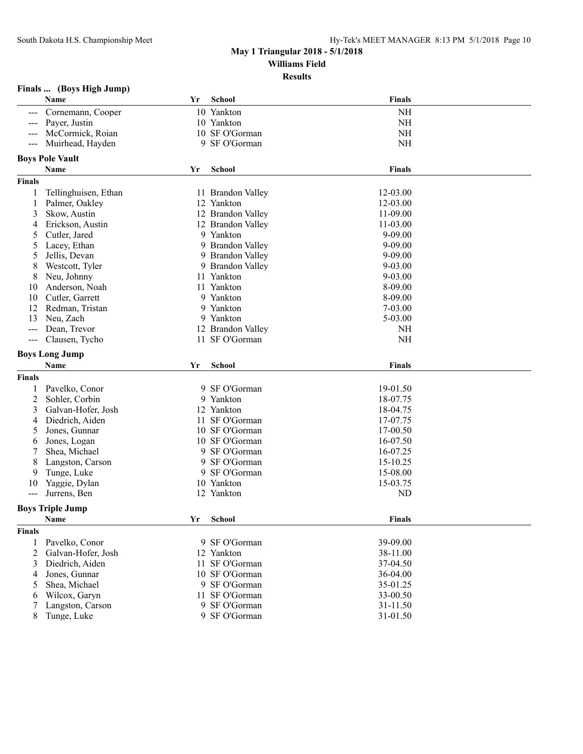**Results**

| Finals |  |  | (Boys High Jump) |
|--------|--|--|------------------|
|--------|--|--|------------------|

|               | Name                            | Yr | <b>School</b>                  | <b>Finals</b>        |
|---------------|---------------------------------|----|--------------------------------|----------------------|
|               | Cornemann, Cooper               |    | 10 Yankton                     | <b>NH</b>            |
|               | Payer, Justin                   |    | 10 Yankton                     | <b>NH</b>            |
| ---           | McCormick, Roian                |    | 10 SF O'Gorman                 | <b>NH</b>            |
| ---           | Muirhead, Hayden                |    | 9 SF O'Gorman                  | <b>NH</b>            |
|               | <b>Boys Pole Vault</b>          |    |                                |                      |
|               | Name                            | Yr | School                         | <b>Finals</b>        |
|               |                                 |    |                                |                      |
| <b>Finals</b> |                                 |    |                                |                      |
| 1             | Tellinghuisen, Ethan            |    | 11 Brandon Valley              | 12-03.00             |
| 1             | Palmer, Oakley                  |    | 12 Yankton                     | 12-03.00             |
| 3             | Skow, Austin                    |    | 12 Brandon Valley              | 11-09.00             |
| 4             | Erickson, Austin                |    | 12 Brandon Valley              | 11-03.00             |
| 5             | Cutler, Jared                   |    | 9 Yankton                      | $9 - 09.00$          |
| 5             | Lacey, Ethan                    |    | 9 Brandon Valley               | 9-09.00              |
| 5             | Jellis, Devan                   |    | 9 Brandon Valley               | 9-09.00              |
| 8             | Westcott, Tyler                 |    | 9 Brandon Valley               | $9 - 03.00$          |
| 8             | Neu, Johnny                     |    | 11 Yankton                     | $9 - 03.00$          |
| 10            | Anderson, Noah                  |    | 11 Yankton                     | 8-09.00              |
| 10            | Cutler, Garrett                 |    | 9 Yankton                      | 8-09.00              |
| 12            | Redman, Tristan                 |    | 9 Yankton                      | 7-03.00              |
| 13            | Neu, Zach                       |    | 9 Yankton                      | $5 - 03.00$          |
| ---           | Dean, Trevor                    |    | 12 Brandon Valley              | <b>NH</b>            |
| $- - -$       | Clausen, Tycho                  |    | 11 SF O'Gorman                 | <b>NH</b>            |
|               | <b>Boys Long Jump</b>           |    |                                |                      |
|               | Name                            | Yr | <b>School</b>                  | <b>Finals</b>        |
| <b>Finals</b> |                                 |    |                                |                      |
| 1             | Pavelko, Conor                  |    | 9 SF O'Gorman                  | 19-01.50             |
|               |                                 |    |                                |                      |
| 2             | Sohler, Corbin                  |    | 9 Yankton                      | 18-07.75             |
| 3             | Galvan-Hofer, Josh              |    | 12 Yankton                     | 18-04.75             |
| 4             | Diedrich, Aiden                 |    | 11 SF O'Gorman                 | 17-07.75             |
| 5             | Jones, Gunnar                   |    | 10 SF O'Gorman                 | 17-00.50             |
| 6             |                                 |    | 10 SF O'Gorman                 | 16-07.50             |
| 7             | Jones, Logan<br>Shea, Michael   |    | 9 SF O'Gorman                  | 16-07.25             |
| 8             |                                 |    | 9 SF O'Gorman                  | 15-10.25             |
| 9             | Langston, Carson                |    | 9 SF O'Gorman                  | 15-08.00             |
| 10            | Tunge, Luke<br>Yaggie, Dylan    |    | 10 Yankton                     |                      |
| $--$          | Jurrens, Ben                    |    | 12 Yankton                     | 15-03.75<br>ND       |
|               |                                 |    |                                |                      |
|               | <b>Boys Triple Jump</b>         |    |                                |                      |
|               | Name                            |    | Yr School                      | <b>Finals</b>        |
| <b>Finals</b> |                                 |    |                                |                      |
| 1             | Pavelko, Conor                  |    | 9 SF O'Gorman                  | 39-09.00             |
| 2             | Galvan-Hofer, Josh              |    | 12 Yankton                     | 38-11.00             |
| 3             | Diedrich, Aiden                 |    | 11 SF O'Gorman                 | 37-04.50             |
| 4             | Jones, Gunnar                   |    | 10 SF O'Gorman                 | 36-04.00             |
| 5             | Shea, Michael                   |    | 9 SF O'Gorman                  | 35-01.25             |
| 6             | Wilcox, Garyn                   |    | 11 SF O'Gorman                 | 33-00.50             |
| 7<br>8        | Langston, Carson<br>Tunge, Luke |    | 9 SF O'Gorman<br>9 SF O'Gorman | 31-11.50<br>31-01.50 |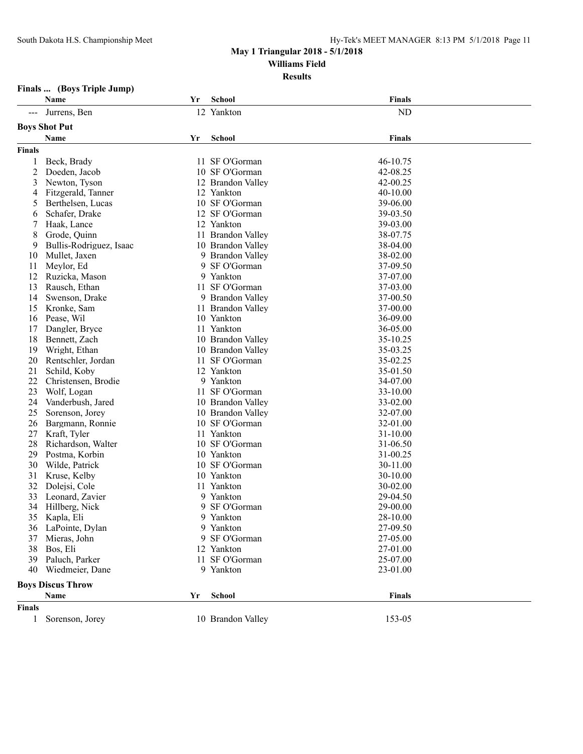#### **Results**

## **Finals ... (Boys Triple Jump)**

|               | Name                     | Yr | <b>School</b>     | <b>Finals</b> |  |
|---------------|--------------------------|----|-------------------|---------------|--|
|               | Jurrens, Ben             |    | 12 Yankton        | <b>ND</b>     |  |
|               | <b>Boys Shot Put</b>     |    |                   |               |  |
|               | Name                     | Yr | School            | <b>Finals</b> |  |
| <b>Finals</b> |                          |    |                   |               |  |
| 1             | Beck, Brady              |    | 11 SF O'Gorman    | 46-10.75      |  |
| 2             | Doeden, Jacob            |    | 10 SF O'Gorman    | 42-08.25      |  |
| 3             | Newton, Tyson            |    | 12 Brandon Valley | 42-00.25      |  |
| 4             | Fitzgerald, Tanner       |    | 12 Yankton        | 40-10.00      |  |
| 5             | Berthelsen, Lucas        |    | 10 SF O'Gorman    | 39-06.00      |  |
| 6             | Schafer, Drake           |    | 12 SF O'Gorman    | 39-03.50      |  |
| 7             | Haak, Lance              |    | 12 Yankton        | 39-03.00      |  |
| 8             | Grode, Quinn             |    | 11 Brandon Valley | 38-07.75      |  |
| 9             | Bullis-Rodriguez, Isaac  |    | 10 Brandon Valley | 38-04.00      |  |
| 10            | Mullet, Jaxen            |    | 9 Brandon Valley  | 38-02.00      |  |
| 11            | Meylor, Ed               |    | 9 SF O'Gorman     | 37-09.50      |  |
| 12            | Ruzicka, Mason           |    | 9 Yankton         | 37-07.00      |  |
| 13            | Rausch, Ethan            |    | 11 SF O'Gorman    | 37-03.00      |  |
| 14            | Swenson, Drake           |    | 9 Brandon Valley  | 37-00.50      |  |
| 15            | Kronke, Sam              |    | 11 Brandon Valley | 37-00.00      |  |
| 16            | Pease, Wil               |    | 10 Yankton        | 36-09.00      |  |
| 17            | Dangler, Bryce           |    | 11 Yankton        | 36-05.00      |  |
| 18            | Bennett, Zach            |    | 10 Brandon Valley | 35-10.25      |  |
| 19            | Wright, Ethan            |    | 10 Brandon Valley | 35-03.25      |  |
| 20            | Rentschler, Jordan       |    | 11 SF O'Gorman    | 35-02.25      |  |
| 21            | Schild, Koby             |    | 12 Yankton        | 35-01.50      |  |
| 22            | Christensen, Brodie      |    | 9 Yankton         | 34-07.00      |  |
| 23            | Wolf, Logan              |    | 11 SF O'Gorman    | 33-10.00      |  |
| 24            | Vanderbush, Jared        |    | 10 Brandon Valley | 33-02.00      |  |
| 25            | Sorenson, Jorey          |    | 10 Brandon Valley | 32-07.00      |  |
| 26            | Bargmann, Ronnie         |    | 10 SF O'Gorman    | 32-01.00      |  |
| 27            | Kraft, Tyler             | 11 | Yankton           | 31-10.00      |  |
| 28            | Richardson, Walter       |    | 10 SF O'Gorman    | 31-06.50      |  |
| 29            | Postma, Korbin           |    | 10 Yankton        | 31-00.25      |  |
| 30            | Wilde, Patrick           |    | 10 SF O'Gorman    | 30-11.00      |  |
| 31            | Kruse, Kelby             |    | 10 Yankton        | 30-10.00      |  |
| 32            | Dolejsi, Cole            |    | 11 Yankton        | 30-02.00      |  |
| 33            | Leonard, Zavier          |    | 9 Yankton         | 29-04.50      |  |
| 34            | Hillberg, Nick           | 9  | SF O'Gorman       | 29-00.00      |  |
| 35            | Kapla, Eli               |    | 9 Yankton         | 28-10.00      |  |
| 36            | LaPointe, Dylan          |    | 9 Yankton         | 27-09.50      |  |
| 37            | Mieras, John             |    | 9 SF O'Gorman     | 27-05.00      |  |
| 38            | Bos, Eli                 |    | 12 Yankton        | 27-01.00      |  |
| 39            | Paluch, Parker           |    | 11 SF O'Gorman    | 25-07.00      |  |
| 40            | Wiedmeier, Dane          |    | 9 Yankton         | 23-01.00      |  |
|               |                          |    |                   |               |  |
|               | <b>Boys Discus Throw</b> |    |                   |               |  |
|               | Name                     | Yr | School            | <b>Finals</b> |  |
| <b>Finals</b> |                          |    |                   |               |  |
| 1             | Sorenson, Jorey          |    | 10 Brandon Valley | 153-05        |  |